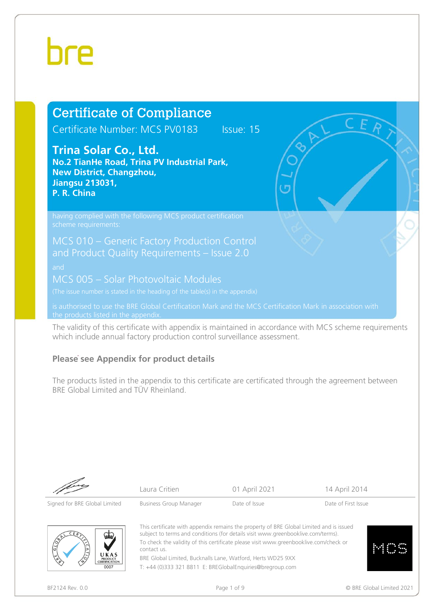# hre

## Certificate of Compliance

Certificate Number: MCS PV0183 Issue: 15

### **Trina Solar Co., Ltd.**

**No.2 TianHe Road, Trina PV Industrial Park, New District, Changzhou, Jiangsu 213031, P. R. China**

MCS 005 – Solar Photovoltaic Modules

is authorised to use the BRE Global Certification Mark and the MCS Certification Mark in association with the products listed in the appendix.

The validity of this certificate with appendix is maintained in accordance with MCS scheme requirements which include annual factory production control surveillance assessment.

#### **Please see Appendix for product details**

The products listed in the appendix to this certificate are certificated through the agreement between BRE Global Limited and TÜV Rheinland.

Signed for BRE Global Limited Business Group Manager Date of Issue Date of First Issue

Laura Critien **14 April 2011** 14 April 2014



This certificate with appendix remains the property of BRE Global Limited and is issued subject to terms and conditions (for details visi[t www.greenbooklive.com/terms\).](http://www.greenbooklive.com/terms) To check the validity of this certificate please visi[t www.greenbooklive.com/check](http://www.greenbooklive.com/check) or contact us. BRE Global Limited, Bucknalls Lane, Watford, Herts WD25 9XX

T: +44 (0)333 321 8811 E: BREGlobalEnquiries@bregroup.com



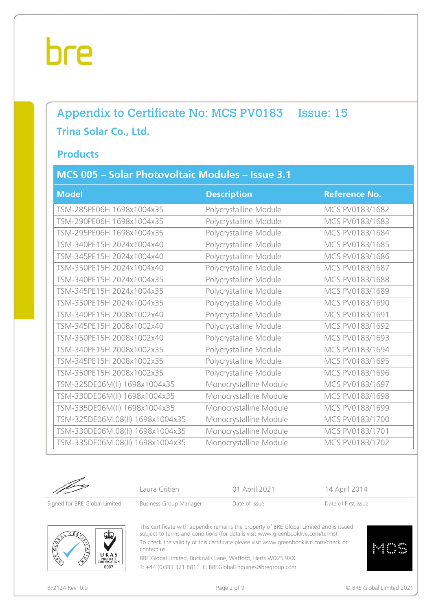### Appendix to Certificate No: MCS PV0183 Issue: 15 **Trina Solar Co., Ltd.**

#### **Products**

### **MCS 005 – Solar Photovoltaic Modules – Issue 3.1**

| <b>Model</b>                     | <b>Description</b>     | <b>Reference No.</b> |
|----------------------------------|------------------------|----------------------|
| TSM-285PE06H 1698x1004x35        | Polycrystalline Module | MCS PV0183/1682      |
| TSM-290PE06H 1698x1004x35        | Polycrystalline Module | MCS PV0183/1683      |
| TSM-295PE06H 1698x1004x35        | Polycrystalline Module | MCS PV0183/1684      |
| TSM-340PE15H 2024x1004x40        | Polycrystalline Module | MCS PV0183/1685      |
| TSM-345PE15H 2024x1004x40        | Polycrystalline Module | MCS PV0183/1686      |
| TSM-350PE15H 2024x1004x40        | Polycrystalline Module | MCS PV0183/1687      |
| TSM-340PE15H 2024x1004x35        | Polycrystalline Module | MCS PV0183/1688      |
| TSM-345PE15H 2024x1004x35        | Polycrystalline Module | MCS PV0183/1689      |
| TSM-350PE15H 2024x1004x35        | Polycrystalline Module | MCS PV0183/1690      |
| TSM-340PE15H 2008x1002x40        | Polycrystalline Module | MCS PV0183/1691      |
| TSM-345PE15H 2008x1002x40        | Polycrystalline Module | MCS PV0183/1692      |
| TSM-350PE15H 2008x1002x40        | Polycrystalline Module | MCS PV0183/1693      |
| TSM-340PE15H 2008x1002x35        | Polycrystalline Module | MCS PV0183/1694      |
| TSM-345PE15H 2008x1002x35        | Polycrystalline Module | MCS PV0183/1695      |
| TSM-350PE15H 2008x1002x35        | Polycrystalline Module | MCS PV0183/1696      |
| TSM-325DE06M(II) 1698x1004x35    | Monocrystalline Module | MCS PV0183/1697      |
| TSM-330DE06M(II) 1698x1004x35    | Monocrystalline Module | MCS PV0183/1698      |
| TSM-335DE06M(II) 1698x1004x35    | Monocrystalline Module | MCS PV0183/1699      |
| TSM-325DE06M.08(II) 1698x1004x35 | Monocrystalline Module | MCS PV0183/1700      |
| TSM-330DE06M.08(II) 1698x1004x35 | Monocrystalline Module | MCS PV0183/1701      |
| TSM-335DE06M.08(II) 1698x1004x35 | Monocrystalline Module | MCS PV0183/1702      |

Laura Critien **14 April 2014** 01 April 2021 14 April 2014

Signed for BRE Global Limited Business Group Manager Date of Issue Date of Pirst Issue



This certificate with appendix remains the property of BRE Global Limited and is issued subject to terms and conditions (for details visi[t www.greenbooklive.com/terms\).](http://www.greenbooklive.com/terms) To check the validity of this certificate please visi[t www.greenbooklive.com/check](http://www.greenbooklive.com/check) or contact us.

BRE Global Limited, Bucknalls Lane, Watford, Herts WD25 9XX T: +44 (0)333 321 8811 E: BREGlobalEnquiries@bregroup.com



BF2124 Rev. 0.0 **Details and Secure 2021** Page 2 of 9 **Page 2 of 9 COVID-100 Page 2 of 9 COVID-100 Page 2 of 9 COVID-100 Page 2 of 9 COVID-100 Page 2 of 9 COVID-100 Page 2 of 9 COVID-100 Page 2 of 9 COVID-100 Page 2 Of 9 C**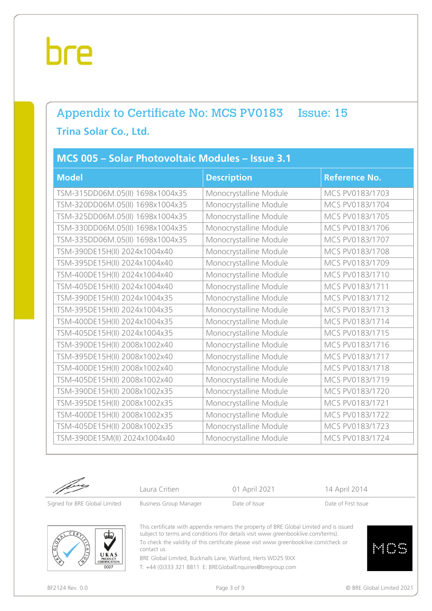## Appendix to Certificate No: MCS PV0183 Issue: 15 **Trina Solar Co., Ltd.**

#### **MCS 005 – Solar Photovoltaic Modules – Issue 3.1**

| <b>Model</b>                     | <b>Description</b>     | <b>Reference No.</b> |
|----------------------------------|------------------------|----------------------|
| TSM-315DD06M.05(II) 1698x1004x35 | Monocrystalline Module | MCS PV0183/1703      |
| TSM-320DD06M.05(II) 1698x1004x35 | Monocrystalline Module | MCS PV0183/1704      |
| TSM-325DD06M.05(II) 1698x1004x35 | Monocrystalline Module | MCS PV0183/1705      |
| TSM-330DD06M.05(II) 1698x1004x35 | Monocrystalline Module | MCS PV0183/1706      |
| TSM-335DD06M.05(II) 1698x1004x35 | Monocrystalline Module | MCS PV0183/1707      |
| TSM-390DE15H(II) 2024x1004x40    | Monocrystalline Module | MCS PV0183/1708      |
| TSM-395DE15H(II) 2024x1004x40    | Monocrystalline Module | MCS PV0183/1709      |
| TSM-400DE15H(II) 2024x1004x40    | Monocrystalline Module | MCS PV0183/1710      |
| TSM-405DE15H(II) 2024x1004x40    | Monocrystalline Module | MCS PV0183/1711      |
| TSM-390DE15H(II) 2024x1004x35    | Monocrystalline Module | MCS PV0183/1712      |
| TSM-395DE15H(II) 2024x1004x35    | Monocrystalline Module | MCS PV0183/1713      |
| TSM-400DE15H(II) 2024x1004x35    | Monocrystalline Module | MCS PV0183/1714      |
| TSM-405DE15H(II) 2024x1004x35    | Monocrystalline Module | MCS PV0183/1715      |
| TSM-390DE15H(II) 2008x1002x40    | Monocrystalline Module | MCS PV0183/1716      |
| TSM-395DE15H(II) 2008x1002x40    | Monocrystalline Module | MCS PV0183/1717      |
| TSM-400DE15H(II) 2008x1002x40    | Monocrystalline Module | MCS PV0183/1718      |
| TSM-405DE15H(II) 2008x1002x40    | Monocrystalline Module | MCS PV0183/1719      |
| TSM-390DE15H(II) 2008x1002x35    | Monocrystalline Module | MCS PV0183/1720      |
| TSM-395DE15H(II) 2008x1002x35    | Monocrystalline Module | MCS PV0183/1721      |
| TSM-400DE15H(II) 2008x1002x35    | Monocrystalline Module | MCS PV0183/1722      |
| TSM-405DE15H(II) 2008x1002x35    | Monocrystalline Module | MCS PV0183/1723      |
| TSM-390DE15M(II) 2024x1004x40    | Monocrystalline Module | MCS PV0183/1724      |

Laura Critien **14 April 2014** 01 April 2021 14 April 2014

Signed for BRE Global Limited Business Group Manager Date of Issue Date of Pirst Issue



This certificate with appendix remains the property of BRE Global Limited and is issued subject to terms and conditions (for details visi[t www.greenbooklive.com/terms\).](http://www.greenbooklive.com/terms) To check the validity of this certificate please visi[t www.greenbooklive.com/check](http://www.greenbooklive.com/check) or contact us.

BRE Global Limited, Bucknalls Lane, Watford, Herts WD25 9XX T: +44 (0)333 321 8811 E: BREGlobalEnquiries@bregroup.com



BF2124 Rev. 0.0 **Details and Secure 2021** Page 3 of 9 **Page 3 of 9 COVID-100 Page 3 of 9 COVID-100 Page 3 of 9 COVID-100 Page 3 of 9 COVID-100 Page 3 of 9 COVID-100 Page 3 of 9 COVID-100 Page 3 of 9 COVID-100 Page 3 Of 9 C**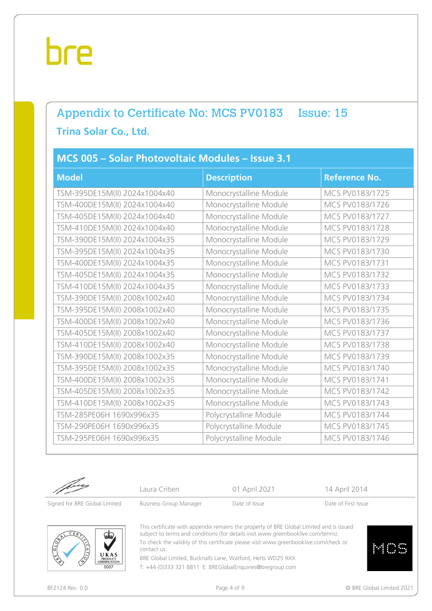## Appendix to Certificate No: MCS PV0183 Issue: 15 **Trina Solar Co., Ltd.**

#### **MCS 005 – Solar Photovoltaic Modules – Issue 3.1**

| <b>Model</b>                  | <b>Description</b>     | <b>Reference No.</b> |
|-------------------------------|------------------------|----------------------|
| TSM-395DE15M(II) 2024x1004x40 | Monocrystalline Module | MCS PV0183/1725      |
| TSM-400DE15M(II) 2024x1004x40 | Monocrystalline Module | MCS PV0183/1726      |
| TSM-405DE15M(II) 2024x1004x40 | Monocrystalline Module | MCS PV0183/1727      |
| TSM-410DE15M(II) 2024x1004x40 | Monocrystalline Module | MCS PV0183/1728      |
| TSM-390DE15M(II) 2024x1004x35 | Monocrystalline Module | MCS PV0183/1729      |
| TSM-395DE15M(II) 2024x1004x35 | Monocrystalline Module | MCS PV0183/1730      |
| TSM-400DE15M(II) 2024x1004x35 | Monocrystalline Module | MCS PV0183/1731      |
| TSM-405DE15M(II) 2024x1004x35 | Monocrystalline Module | MCS PV0183/1732      |
| TSM-410DE15M(II) 2024x1004x35 | Monocrystalline Module | MCS PV0183/1733      |
| TSM-390DE15M(II) 2008x1002x40 | Monocrystalline Module | MCS PV0183/1734      |
| TSM-395DE15M(II) 2008x1002x40 | Monocrystalline Module | MCS PV0183/1735      |
| TSM-400DE15M(II) 2008x1002x40 | Monocrystalline Module | MCS PV0183/1736      |
| TSM-405DE15M(II) 2008x1002x40 | Monocrystalline Module | MCS PV0183/1737      |
| TSM-410DE15M(II) 2008x1002x40 | Monocrystalline Module | MCS PV0183/1738      |
| TSM-390DE15M(II) 2008x1002x35 | Monocrystalline Module | MCS PV0183/1739      |
| TSM-395DE15M(II) 2008x1002x35 | Monocrystalline Module | MCS PV0183/1740      |
| TSM-400DE15M(II) 2008x1002x35 | Monocrystalline Module | MCS PV0183/1741      |
| TSM-405DE15M(II) 2008x1002x35 | Monocrystalline Module | MCS PV0183/1742      |
| TSM-410DE15M(II) 2008x1002x35 | Monocrystalline Module | MCS PV0183/1743      |
| TSM-285PE06H 1690x996x35      | Polycrystalline Module | MCS PV0183/1744      |
| TSM-290PE06H 1690x996x35      | Polycrystalline Module | MCS PV0183/1745      |
| TSM-295PE06H 1690x996x35      | Polycrystalline Module | MCS PV0183/1746      |

Laura Critien **14 April 2014** 01 April 2021 14 April 2014

Signed for BRE Global Limited Business Group Manager Date of Issue Date of Pirst Issue



This certificate with appendix remains the property of BRE Global Limited and is issued subject to terms and conditions (for details visi[t www.greenbooklive.com/terms\).](http://www.greenbooklive.com/terms) To check the validity of this certificate please visi[t www.greenbooklive.com/check](http://www.greenbooklive.com/check) or contact us.

BRE Global Limited, Bucknalls Lane, Watford, Herts WD25 9XX T: +44 (0)333 321 8811 E: BREGlobalEnquiries@bregroup.com

BF2124 Rev. 0.0 **Page 4 of 9 Page 4 of 9 CIT** BF2124 Rev. 0.0 **CIT** BF2124 Rev. 0.0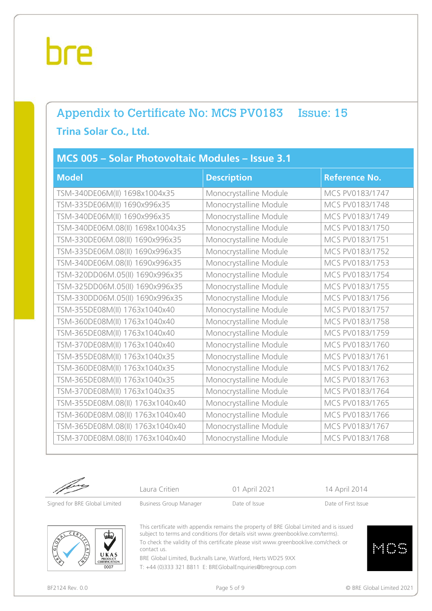## Appendix to Certificate No: MCS PV0183 Issue: 15 **Trina Solar Co., Ltd.**

#### **MCS 005 – Solar Photovoltaic Modules – Issue 3.1**

| <b>Model</b>                     | <b>Description</b>     | <b>Reference No.</b> |
|----------------------------------|------------------------|----------------------|
| TSM-340DE06M(II) 1698x1004x35    | Monocrystalline Module | MCS PV0183/1747      |
| TSM-335DE06M(II) 1690x996x35     | Monocrystalline Module | MCS PV0183/1748      |
| TSM-340DE06M(II) 1690x996x35     | Monocrystalline Module | MCS PV0183/1749      |
| TSM-340DE06M.08(II) 1698x1004x35 | Monocrystalline Module | MCS PV0183/1750      |
| TSM-330DE06M.08(II) 1690x996x35  | Monocrystalline Module | MCS PV0183/1751      |
| TSM-335DE06M.08(II) 1690x996x35  | Monocrystalline Module | MCS PV0183/1752      |
| TSM-340DE06M.08(II) 1690x996x35  | Monocrystalline Module | MCS PV0183/1753      |
| TSM-320DD06M.05(II) 1690x996x35  | Monocrystalline Module | MCS PV0183/1754      |
| TSM-325DD06M.05(II) 1690x996x35  | Monocrystalline Module | MCS PV0183/1755      |
| TSM-330DD06M.05(II) 1690x996x35  | Monocrystalline Module | MCS PV0183/1756      |
| TSM-355DE08M(II) 1763x1040x40    | Monocrystalline Module | MCS PV0183/1757      |
| TSM-360DE08M(II) 1763x1040x40    | Monocrystalline Module | MCS PV0183/1758      |
| TSM-365DE08M(II) 1763x1040x40    | Monocrystalline Module | MCS PV0183/1759      |
| TSM-370DE08M(II) 1763x1040x40    | Monocrystalline Module | MCS PV0183/1760      |
| TSM-355DE08M(II) 1763x1040x35    | Monocrystalline Module | MCS PV0183/1761      |
| TSM-360DE08M(II) 1763x1040x35    | Monocrystalline Module | MCS PV0183/1762      |
| TSM-365DE08M(II) 1763x1040x35    | Monocrystalline Module | MCS PV0183/1763      |
| TSM-370DE08M(II) 1763x1040x35    | Monocrystalline Module | MCS PV0183/1764      |
| TSM-355DE08M.08(II) 1763x1040x40 | Monocrystalline Module | MCS PV0183/1765      |
| TSM-360DE08M.08(II) 1763x1040x40 | Monocrystalline Module | MCS PV0183/1766      |
| TSM-365DE08M.08(II) 1763x1040x40 | Monocrystalline Module | MCS PV0183/1767      |
| TSM-370DE08M.08(II) 1763x1040x40 | Monocrystalline Module | MCS PV0183/1768      |

Laura Critien **14 April 2014** 01 April 2021 14 April 2014

Signed for BRE Global Limited Business Group Manager Date of Issue Date of Pirst Issue



This certificate with appendix remains the property of BRE Global Limited and is issued subject to terms and conditions (for details visi[t www.greenbooklive.com/terms\).](http://www.greenbooklive.com/terms) To check the validity of this certificate please visi[t www.greenbooklive.com/check](http://www.greenbooklive.com/check) or contact us.

BRE Global Limited, Bucknalls Lane, Watford, Herts WD25 9XX T: +44 (0)333 321 8811 E: BREGlobalEnquiries@bregroup.com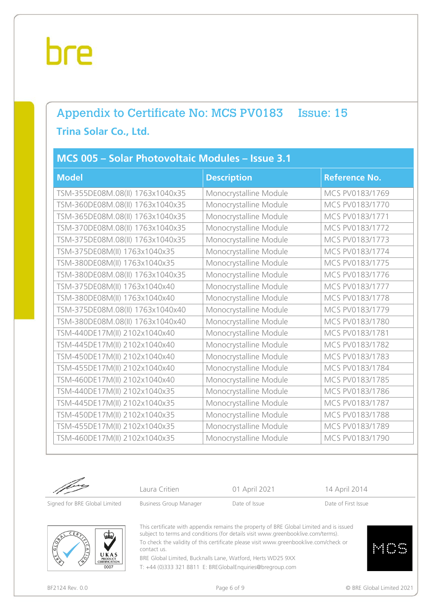## Appendix to Certificate No: MCS PV0183 Issue: 15 **Trina Solar Co., Ltd.**

#### **MCS 005 – Solar Photovoltaic Modules – Issue 3.1**

| <b>Model</b>                     | <b>Description</b>     | <b>Reference No.</b> |
|----------------------------------|------------------------|----------------------|
| TSM-355DE08M.08(II) 1763x1040x35 | Monocrystalline Module | MCS PV0183/1769      |
| TSM-360DE08M.08(II) 1763x1040x35 | Monocrystalline Module | MCS PV0183/1770      |
| TSM-365DE08M.08(II) 1763x1040x35 | Monocrystalline Module | MCS PV0183/1771      |
| TSM-370DE08M.08(II) 1763x1040x35 | Monocrystalline Module | MCS PV0183/1772      |
| TSM-375DE08M.08(II) 1763x1040x35 | Monocrystalline Module | MCS PV0183/1773      |
| TSM-375DE08M(II) 1763x1040x35    | Monocrystalline Module | MCS PV0183/1774      |
| TSM-380DE08M(II) 1763x1040x35    | Monocrystalline Module | MCS PV0183/1775      |
| TSM-380DE08M.08(II) 1763x1040x35 | Monocrystalline Module | MCS PV0183/1776      |
| TSM-375DE08M(II) 1763x1040x40    | Monocrystalline Module | MCS PV0183/1777      |
| TSM-380DE08M(II) 1763x1040x40    | Monocrystalline Module | MCS PV0183/1778      |
| TSM-375DE08M.08(II) 1763x1040x40 | Monocrystalline Module | MCS PV0183/1779      |
| TSM-380DE08M.08(II) 1763x1040x40 | Monocrystalline Module | MCS PV0183/1780      |
| TSM-440DE17M(II) 2102x1040x40    | Monocrystalline Module | MCS PV0183/1781      |
| TSM-445DE17M(II) 2102x1040x40    | Monocrystalline Module | MCS PV0183/1782      |
| TSM-450DE17M(II) 2102x1040x40    | Monocrystalline Module | MCS PV0183/1783      |
| TSM-455DE17M(II) 2102x1040x40    | Monocrystalline Module | MCS PV0183/1784      |
| TSM-460DE17M(II) 2102x1040x40    | Monocrystalline Module | MCS PV0183/1785      |
| TSM-440DE17M(II) 2102x1040x35    | Monocrystalline Module | MCS PV0183/1786      |
| TSM-445DE17M(II) 2102x1040x35    | Monocrystalline Module | MCS PV0183/1787      |
| TSM-450DE17M(II) 2102x1040x35    | Monocrystalline Module | MCS PV0183/1788      |
| TSM-455DE17M(II) 2102x1040x35    | Monocrystalline Module | MCS PV0183/1789      |
| TSM-460DE17M(II) 2102x1040x35    | Monocrystalline Module | MCS PV0183/1790      |

Laura Critien **14 April 2014** 01 April 2021 14 April 2014





This certificate with appendix remains the property of BRE Global Limited and is issued subject to terms and conditions (for details visi[t www.greenbooklive.com/terms\).](http://www.greenbooklive.com/terms) To check the validity of this certificate please visi[t www.greenbooklive.com/check](http://www.greenbooklive.com/check) or contact us.

BRE Global Limited, Bucknalls Lane, Watford, Herts WD25 9XX T: +44 (0)333 321 8811 E: BREGlobalEnquiries@bregroup.com

BF2124 Rev. 0.0 **Details and Secure 2021** Page 6 of 9 **Page 6 of 9 COVID-10** COVID-10 **Page 6 of 9** COVID-10 **COVID-10 COVID-10 COVID-10 COVID-10 COVID-10 COVID-10 COVID-10 COVID-10 COVID-10 COVID-10 CO**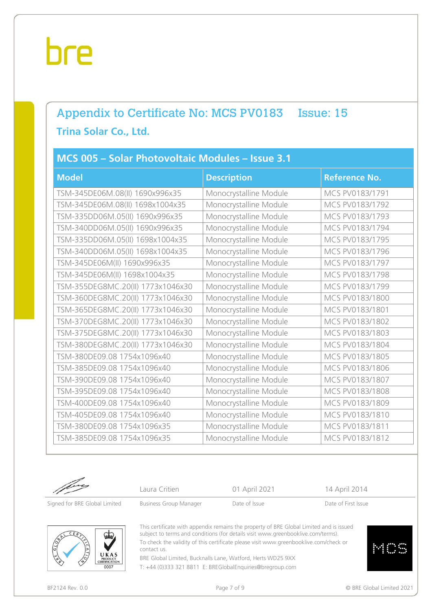## Appendix to Certificate No: MCS PV0183 Issue: 15 **Trina Solar Co., Ltd.**

#### **MCS 005 – Solar Photovoltaic Modules – Issue 3.1**

| <b>Model</b>                      | <b>Description</b>     | <b>Reference No.</b> |
|-----------------------------------|------------------------|----------------------|
| TSM-345DE06M.08(II) 1690x996x35   | Monocrystalline Module | MCS PV0183/1791      |
| TSM-345DE06M.08(II) 1698x1004x35  | Monocrystalline Module | MCS PV0183/1792      |
| TSM-335DD06M.05(II) 1690x996x35   | Monocrystalline Module | MCS PV0183/1793      |
| TSM-340DD06M.05(II) 1690x996x35   | Monocrystalline Module | MCS PV0183/1794      |
| TSM-335DD06M.05(II) 1698x1004x35  | Monocrystalline Module | MCS PV0183/1795      |
| TSM-340DD06M.05(II) 1698x1004x35  | Monocrystalline Module | MCS PV0183/1796      |
| TSM-345DE06M(II) 1690x996x35      | Monocrystalline Module | MCS PV0183/1797      |
| TSM-345DE06M(II) 1698x1004x35     | Monocrystalline Module | MCS PV0183/1798      |
| TSM-355DEG8MC.20(II) 1773x1046x30 | Monocrystalline Module | MCS PV0183/1799      |
| TSM-360DEG8MC.20(II) 1773x1046x30 | Monocrystalline Module | MCS PV0183/1800      |
| TSM-365DEG8MC.20(II) 1773x1046x30 | Monocrystalline Module | MCS PV0183/1801      |
| TSM-370DEG8MC.20(II) 1773x1046x30 | Monocrystalline Module | MCS PV0183/1802      |
| TSM-375DEG8MC.20(II) 1773x1046x30 | Monocrystalline Module | MCS PV0183/1803      |
| TSM-380DEG8MC.20(II) 1773x1046x30 | Monocrystalline Module | MCS PV0183/1804      |
| TSM-380DE09.08 1754x1096x40       | Monocrystalline Module | MCS PV0183/1805      |
| TSM-385DE09.08 1754x1096x40       | Monocrystalline Module | MCS PV0183/1806      |
| TSM-390DE09.08 1754x1096x40       | Monocrystalline Module | MCS PV0183/1807      |
| TSM-395DE09.08 1754x1096x40       | Monocrystalline Module | MCS PV0183/1808      |
| TSM-400DE09.08 1754x1096x40       | Monocrystalline Module | MCS PV0183/1809      |
| TSM-405DE09.08 1754x1096x40       | Monocrystalline Module | MCS PV0183/1810      |
| TSM-380DE09.08 1754x1096x35       | Monocrystalline Module | MCS PV0183/1811      |
| TSM-385DE09.08 1754x1096x35       | Monocrystalline Module | MCS PV0183/1812      |

Laura Critien **14 April 2014** 01 April 2021 14 April 2014

Signed for BRE Global Limited Business Group Manager Date of Issue Date of Pirst Issue



This certificate with appendix remains the property of BRE Global Limited and is issued subject to terms and conditions (for details visi[t www.greenbooklive.com/terms\).](http://www.greenbooklive.com/terms) To check the validity of this certificate please visi[t www.greenbooklive.com/check](http://www.greenbooklive.com/check) or contact us.

BRE Global Limited, Bucknalls Lane, Watford, Herts WD25 9XX T: +44 (0)333 321 8811 E: BREGlobalEnquiries@bregroup.com

BF2124 Rev. 0.0 **Details and Secure 2021** Page 7 of 9 **Page 7 of 9 COVID-100 Page 7 of 9 COVID-100 Page 7 of 9 COVID-100 Page 7 of 9 COVID-100 Page 7 of 9 COVID-100 Page 7 of 9 COVID-100 Page 7 of 9 COVID-100 Page 7 Of 9 C**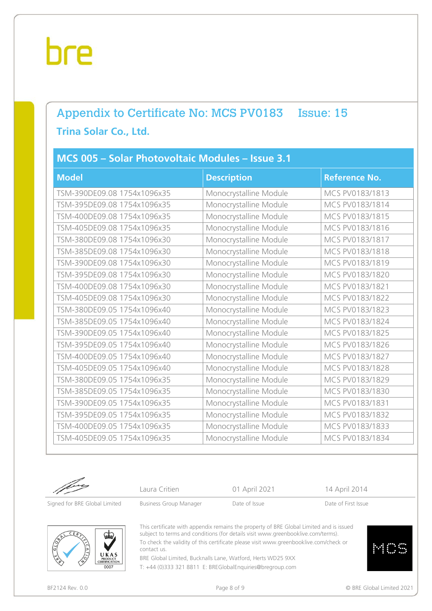## Appendix to Certificate No: MCS PV0183 Issue: 15 **Trina Solar Co., Ltd.**

#### **MCS 005 – Solar Photovoltaic Modules – Issue 3.1**

| <b>Model</b>                | <b>Description</b>     | <b>Reference No.</b> |
|-----------------------------|------------------------|----------------------|
| TSM-390DE09.08 1754x1096x35 | Monocrystalline Module | MCS PV0183/1813      |
| TSM-395DE09.08 1754x1096x35 | Monocrystalline Module | MCS PV0183/1814      |
| TSM-400DE09.08 1754x1096x35 | Monocrystalline Module | MCS PV0183/1815      |
| TSM-405DE09.08 1754x1096x35 | Monocrystalline Module | MCS PV0183/1816      |
| TSM-380DE09.08 1754x1096x30 | Monocrystalline Module | MCS PV0183/1817      |
| TSM-385DE09.08 1754x1096x30 | Monocrystalline Module | MCS PV0183/1818      |
| TSM-390DE09.08 1754x1096x30 | Monocrystalline Module | MCS PV0183/1819      |
| TSM-395DE09.08 1754x1096x30 | Monocrystalline Module | MCS PV0183/1820      |
| TSM-400DE09.08 1754x1096x30 | Monocrystalline Module | MCS PV0183/1821      |
| TSM-405DE09.08 1754x1096x30 | Monocrystalline Module | MCS PV0183/1822      |
| TSM-380DE09.05 1754x1096x40 | Monocrystalline Module | MCS PV0183/1823      |
| TSM-385DE09.05 1754x1096x40 | Monocrystalline Module | MCS PV0183/1824      |
| TSM-390DE09.05 1754x1096x40 | Monocrystalline Module | MCS PV0183/1825      |
| TSM-395DE09.05 1754x1096x40 | Monocrystalline Module | MCS PV0183/1826      |
| TSM-400DE09.05 1754x1096x40 | Monocrystalline Module | MCS PV0183/1827      |
| TSM-405DE09.05 1754x1096x40 | Monocrystalline Module | MCS PV0183/1828      |
| TSM-380DE09.05 1754x1096x35 | Monocrystalline Module | MCS PV0183/1829      |
| TSM-385DE09.05 1754x1096x35 | Monocrystalline Module | MCS PV0183/1830      |
| TSM-390DE09.05 1754x1096x35 | Monocrystalline Module | MCS PV0183/1831      |
| TSM-395DE09.05 1754x1096x35 | Monocrystalline Module | MCS PV0183/1832      |
| TSM-400DE09.05 1754x1096x35 | Monocrystalline Module | MCS PV0183/1833      |
| TSM-405DE09.05 1754x1096x35 | Monocrystalline Module | MCS PV0183/1834      |

Laura Critien **14 April 2014** 01 April 2021 14 April 2014

Signed for BRE Global Limited Business Group Manager Date of Issue Date of Pirst Issue



This certificate with appendix remains the property of BRE Global Limited and is issued subject to terms and conditions (for details visi[t www.greenbooklive.com/terms\).](http://www.greenbooklive.com/terms) To check the validity of this certificate please visi[t www.greenbooklive.com/check](http://www.greenbooklive.com/check) or contact us.

BRE Global Limited, Bucknalls Lane, Watford, Herts WD25 9XX T: +44 (0)333 321 8811 E: BREGlobalEnquiries@bregroup.com

BF2124 Rev. 0.0 **Details and Secure 2021** Page 8 of 9 **Page 8 of 9 COVID-100 Page 8 of 9 COVID-100 Page 8 of 9 COVID-100 Page 8 of 9 COVID-100 Page 8 of 9 COVID-100 Page 8 of 9 COVID-100 Page 8 of 9 COVID-100 Page 8 Of 9 C**